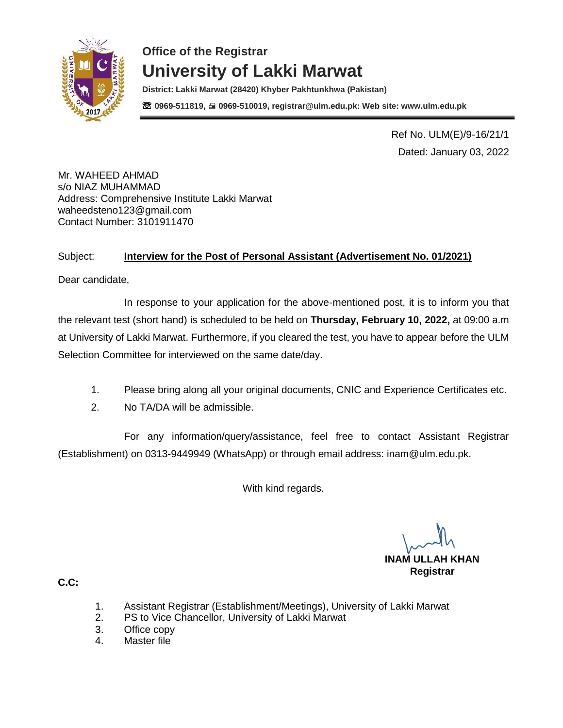

**District: Lakki Marwat (28420) Khyber Pakhtunkhwa (Pakistan)** ☏ **0969-511819, 0969-510019, registrar@ulm.edu.pk: Web site: www.ulm.edu.pk**

> Ref No. ULM(E)/9-16/21/1 Dated: January 03, 2022

Mr. WAHEED AHMAD s/o NIAZ MUHAMMAD Address: Comprehensive Institute Lakki Marwat [waheedsteno123@gmail.com](mailto:waheedsteno123@gmail.com) Contact Number: 3101911470

#### Subject: **Interview for the Post of Personal Assistant (Advertisement No. 01/2021)**

Dear candidate,

In response to your application for the above-mentioned post, it is to inform you that the relevant test (short hand) is scheduled to be held on **Thursday, February 10, 2022,** at 09:00 a.m at University of Lakki Marwat. Furthermore, if you cleared the test, you have to appear before the ULM Selection Committee for interviewed on the same date/day.

- 1. Please bring along all your original documents, CNIC and Experience Certificates etc.
- 2. No TA/DA will be admissible.

For any information/query/assistance, feel free to contact Assistant Registrar (Establishment) on 0313-9449949 (WhatsApp) or through email address: [inam@ulm.edu.pk.](mailto:inam@ulm.edu.pk)

With kind regards.

**INAM ULLAH KHAN Registrar** 

- 1. Assistant Registrar (Establishment/Meetings), University of Lakki Marwat
- 2. PS to Vice Chancellor, University of Lakki Marwat
- 3. Office copy
- 4. Master file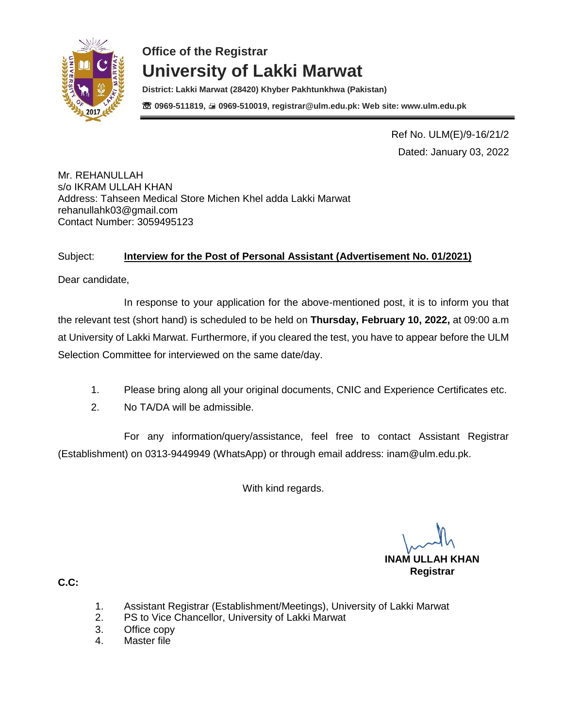

**District: Lakki Marwat (28420) Khyber Pakhtunkhwa (Pakistan)** ☏ **0969-511819, 0969-510019, registrar@ulm.edu.pk: Web site: www.ulm.edu.pk**

> Ref No. ULM(E)/9-16/21/2 Dated: January 03, 2022

Mr. REHANULLAH s/o IKRAM ULLAH KHAN Address: Tahseen Medical Store Michen Khel adda Lakki Marwat [rehanullahk03@gmail.com](mailto:rehanullahk03@gmail.com) Contact Number: 3059495123

#### Subject: **Interview for the Post of Personal Assistant (Advertisement No. 01/2021)**

Dear candidate,

In response to your application for the above-mentioned post, it is to inform you that the relevant test (short hand) is scheduled to be held on **Thursday, February 10, 2022,** at 09:00 a.m at University of Lakki Marwat. Furthermore, if you cleared the test, you have to appear before the ULM Selection Committee for interviewed on the same date/day.

- 1. Please bring along all your original documents, CNIC and Experience Certificates etc.
- 2. No TA/DA will be admissible.

For any information/query/assistance, feel free to contact Assistant Registrar (Establishment) on 0313-9449949 (WhatsApp) or through email address: [inam@ulm.edu.pk.](mailto:inam@ulm.edu.pk)

With kind regards.

**INAM ULLAH KHAN Registrar** 

- 1. Assistant Registrar (Establishment/Meetings), University of Lakki Marwat
- 2. PS to Vice Chancellor, University of Lakki Marwat
- 3. Office copy
- 4. Master file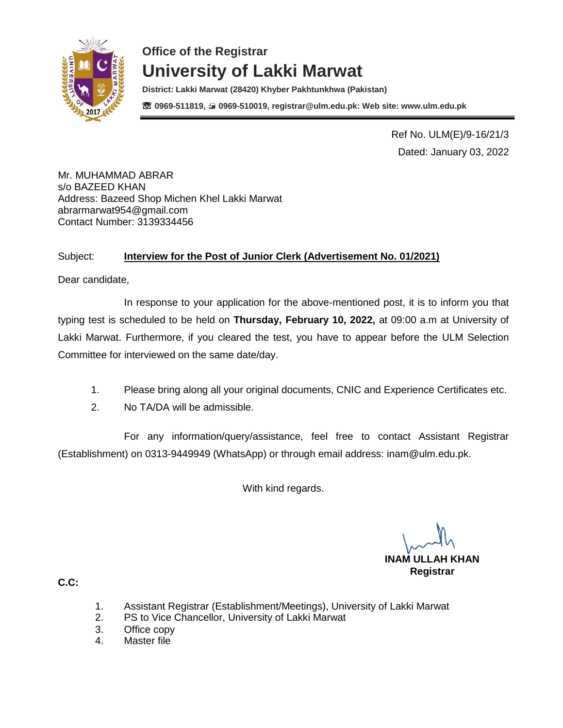

**District: Lakki Marwat (28420) Khyber Pakhtunkhwa (Pakistan)** ☏ **0969-511819, 0969-510019, registrar@ulm.edu.pk: Web site: www.ulm.edu.pk**

> Ref No. ULM(E)/9-16/21/3 Dated: January 03, 2022

Mr. MUHAMMAD ABRAR s/o BAZEED KHAN Address: Bazeed Shop Michen Khel Lakki Marwat [abrarmarwat954@gmail.com](mailto:abrarmarwat954@gmail.com) Contact Number: 3139334456

#### Subject: **Interview for the Post of Junior Clerk (Advertisement No. 01/2021)**

Dear candidate,

In response to your application for the above-mentioned post, it is to inform you that typing test is scheduled to be held on **Thursday, February 10, 2022,** at 09:00 a.m at University of Lakki Marwat. Furthermore, if you cleared the test, you have to appear before the ULM Selection Committee for interviewed on the same date/day.

- 1. Please bring along all your original documents, CNIC and Experience Certificates etc.
- 2. No TA/DA will be admissible.

For any information/query/assistance, feel free to contact Assistant Registrar (Establishment) on 0313-9449949 (WhatsApp) or through email address: [inam@ulm.edu.pk.](mailto:inam@ulm.edu.pk)

With kind regards.

**INAM ULLAH KHAN Registrar** 

- 1. Assistant Registrar (Establishment/Meetings), University of Lakki Marwat
- 2. PS to Vice Chancellor, University of Lakki Marwat
- 3. Office copy
- 4. Master file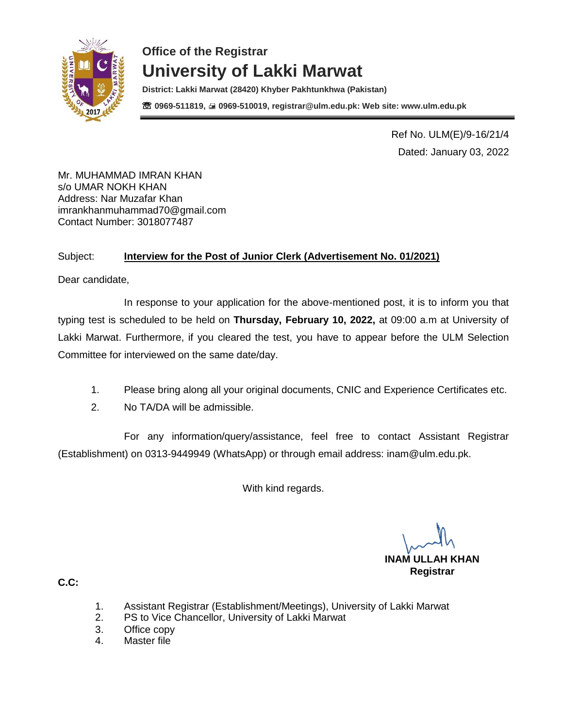

**District: Lakki Marwat (28420) Khyber Pakhtunkhwa (Pakistan)** ☏ **0969-511819, 0969-510019, registrar@ulm.edu.pk: Web site: www.ulm.edu.pk**

> Ref No. ULM(E)/9-16/21/4 Dated: January 03, 2022

Mr. MUHAMMAD IMRAN KHAN s/o UMAR NOKH KHAN Address: Nar Muzafar Khan [imrankhanmuhammad70@gmail.com](mailto:imrankhanmuhammad70@gmail.com) Contact Number: 3018077487

#### Subject: **Interview for the Post of Junior Clerk (Advertisement No. 01/2021)**

Dear candidate,

In response to your application for the above-mentioned post, it is to inform you that typing test is scheduled to be held on **Thursday, February 10, 2022,** at 09:00 a.m at University of Lakki Marwat. Furthermore, if you cleared the test, you have to appear before the ULM Selection Committee for interviewed on the same date/day.

- 1. Please bring along all your original documents, CNIC and Experience Certificates etc.
- 2. No TA/DA will be admissible.

For any information/query/assistance, feel free to contact Assistant Registrar (Establishment) on 0313-9449949 (WhatsApp) or through email address: [inam@ulm.edu.pk.](mailto:inam@ulm.edu.pk)

With kind regards.

**INAM ULLAH KHAN Registrar** 

- 1. Assistant Registrar (Establishment/Meetings), University of Lakki Marwat
- 2. PS to Vice Chancellor, University of Lakki Marwat
- 3. Office copy
- 4. Master file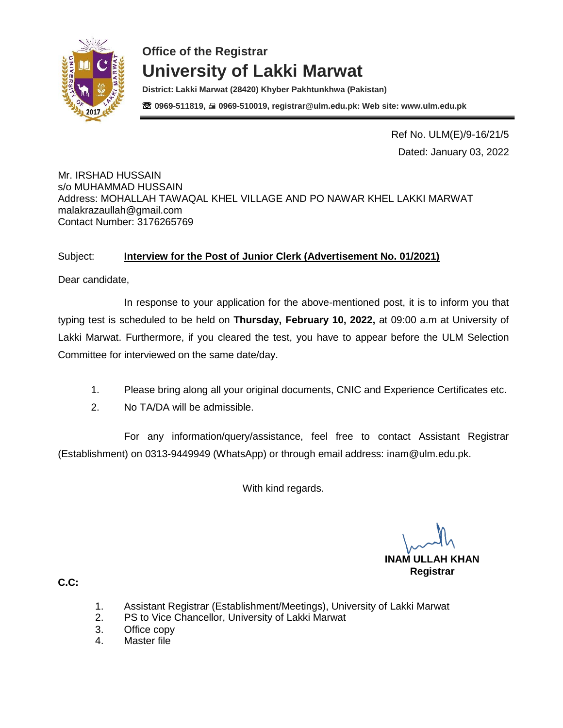

**District: Lakki Marwat (28420) Khyber Pakhtunkhwa (Pakistan)** ☏ **0969-511819, 0969-510019, registrar@ulm.edu.pk: Web site: www.ulm.edu.pk**

> Ref No. ULM(E)/9-16/21/5 Dated: January 03, 2022

#### Mr. IRSHAD HUSSAIN s/o MUHAMMAD HUSSAIN Address: MOHALLAH TAWAQAL KHEL VILLAGE AND PO NAWAR KHEL LAKKI MARWAT [malakrazaullah@gmail.com](mailto:malakrazaullah@gmail.com) Contact Number: 3176265769

#### Subject: **Interview for the Post of Junior Clerk (Advertisement No. 01/2021)**

Dear candidate,

In response to your application for the above-mentioned post, it is to inform you that typing test is scheduled to be held on **Thursday, February 10, 2022,** at 09:00 a.m at University of Lakki Marwat. Furthermore, if you cleared the test, you have to appear before the ULM Selection Committee for interviewed on the same date/day.

- 1. Please bring along all your original documents, CNIC and Experience Certificates etc.
- 2. No TA/DA will be admissible.

For any information/query/assistance, feel free to contact Assistant Registrar (Establishment) on 0313-9449949 (WhatsApp) or through email address: [inam@ulm.edu.pk.](mailto:inam@ulm.edu.pk)

With kind regards.

**INAM ULLAH KHAN Registrar** 

- 1. Assistant Registrar (Establishment/Meetings), University of Lakki Marwat
- 2. PS to Vice Chancellor, University of Lakki Marwat
- 3. Office copy
- 4. Master file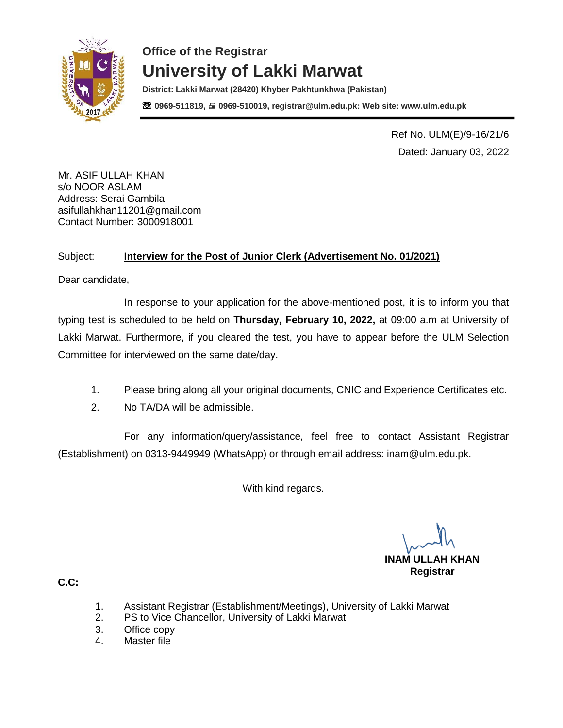

**District: Lakki Marwat (28420) Khyber Pakhtunkhwa (Pakistan)** ☏ **0969-511819, 0969-510019, registrar@ulm.edu.pk: Web site: www.ulm.edu.pk**

> Ref No. ULM(E)/9-16/21/6 Dated: January 03, 2022

Mr. ASIF ULLAH KHAN s/o NOOR ASLAM Address: Serai Gambila [asifullahkhan11201@gmail.com](mailto:asifullahkhan11201@gmail.com) Contact Number: 3000918001

### Subject: **Interview for the Post of Junior Clerk (Advertisement No. 01/2021)**

Dear candidate,

In response to your application for the above-mentioned post, it is to inform you that typing test is scheduled to be held on **Thursday, February 10, 2022,** at 09:00 a.m at University of Lakki Marwat. Furthermore, if you cleared the test, you have to appear before the ULM Selection Committee for interviewed on the same date/day.

- 1. Please bring along all your original documents, CNIC and Experience Certificates etc.
- 2. No TA/DA will be admissible.

For any information/query/assistance, feel free to contact Assistant Registrar (Establishment) on 0313-9449949 (WhatsApp) or through email address: [inam@ulm.edu.pk.](mailto:inam@ulm.edu.pk)

With kind regards.

**INAM ULLAH KHAN Registrar** 

- 1. Assistant Registrar (Establishment/Meetings), University of Lakki Marwat
- 2. PS to Vice Chancellor, University of Lakki Marwat
- 3. Office copy
- 4. Master file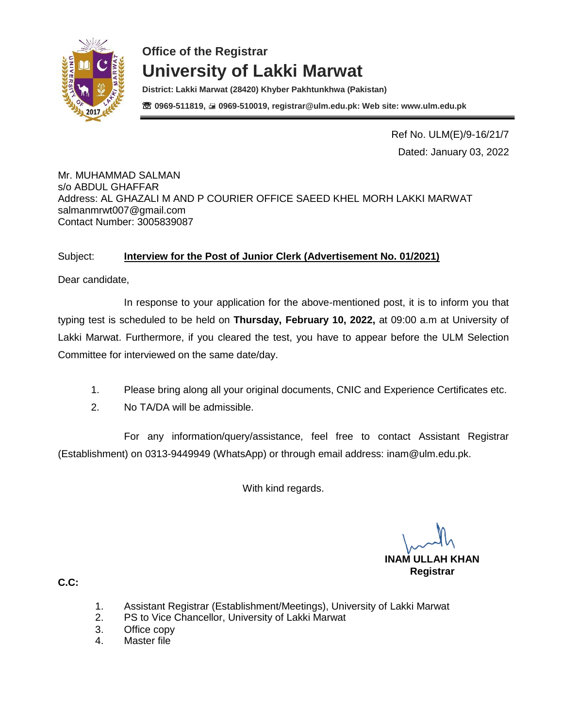

**District: Lakki Marwat (28420) Khyber Pakhtunkhwa (Pakistan)** ☏ **0969-511819, 0969-510019, registrar@ulm.edu.pk: Web site: www.ulm.edu.pk**

> Ref No. ULM(E)/9-16/21/7 Dated: January 03, 2022

Mr. MUHAMMAD SALMAN s/o ABDUL GHAFFAR Address: AL GHAZALI M AND P COURIER OFFICE SAEED KHEL MORH LAKKI MARWAT [salmanmrwt007@gmail.com](mailto:salmanmrwt007@gmail.com) Contact Number: 3005839087

#### Subject: **Interview for the Post of Junior Clerk (Advertisement No. 01/2021)**

Dear candidate,

In response to your application for the above-mentioned post, it is to inform you that typing test is scheduled to be held on **Thursday, February 10, 2022,** at 09:00 a.m at University of Lakki Marwat. Furthermore, if you cleared the test, you have to appear before the ULM Selection Committee for interviewed on the same date/day.

- 1. Please bring along all your original documents, CNIC and Experience Certificates etc.
- 2. No TA/DA will be admissible.

For any information/query/assistance, feel free to contact Assistant Registrar (Establishment) on 0313-9449949 (WhatsApp) or through email address: [inam@ulm.edu.pk.](mailto:inam@ulm.edu.pk)

With kind regards.

**INAM ULLAH KHAN Registrar** 

- 1. Assistant Registrar (Establishment/Meetings), University of Lakki Marwat
- 2. PS to Vice Chancellor, University of Lakki Marwat
- 3. Office copy
- 4. Master file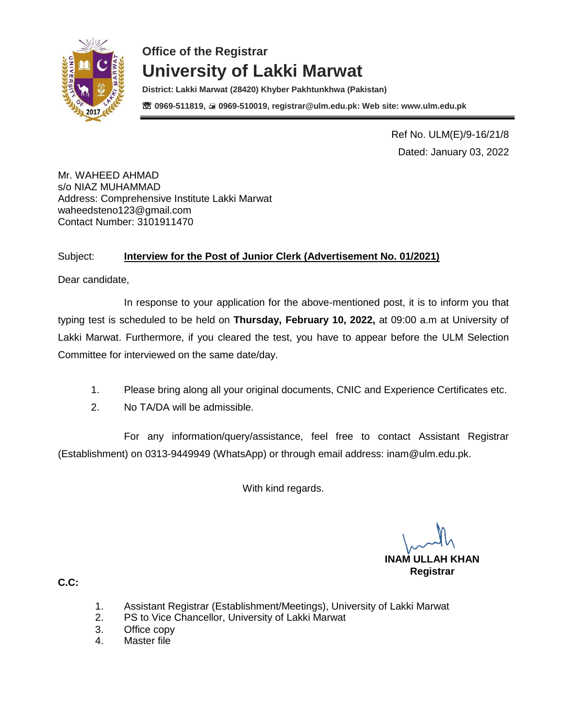

**District: Lakki Marwat (28420) Khyber Pakhtunkhwa (Pakistan)** ☏ **0969-511819, 0969-510019, registrar@ulm.edu.pk: Web site: www.ulm.edu.pk**

> Ref No. ULM(E)/9-16/21/8 Dated: January 03, 2022

Mr. WAHEED AHMAD s/o NIAZ MUHAMMAD Address: Comprehensive Institute Lakki Marwat [waheedsteno123@gmail.com](mailto:waheedsteno123@gmail.com) Contact Number: 3101911470

#### Subject: **Interview for the Post of Junior Clerk (Advertisement No. 01/2021)**

Dear candidate,

In response to your application for the above-mentioned post, it is to inform you that typing test is scheduled to be held on **Thursday, February 10, 2022,** at 09:00 a.m at University of Lakki Marwat. Furthermore, if you cleared the test, you have to appear before the ULM Selection Committee for interviewed on the same date/day.

- 1. Please bring along all your original documents, CNIC and Experience Certificates etc.
- 2. No TA/DA will be admissible.

For any information/query/assistance, feel free to contact Assistant Registrar (Establishment) on 0313-9449949 (WhatsApp) or through email address: [inam@ulm.edu.pk.](mailto:inam@ulm.edu.pk)

With kind regards.

**INAM ULLAH KHAN Registrar** 

- 1. Assistant Registrar (Establishment/Meetings), University of Lakki Marwat
- 2. PS to Vice Chancellor, University of Lakki Marwat
- 3. Office copy
- 4. Master file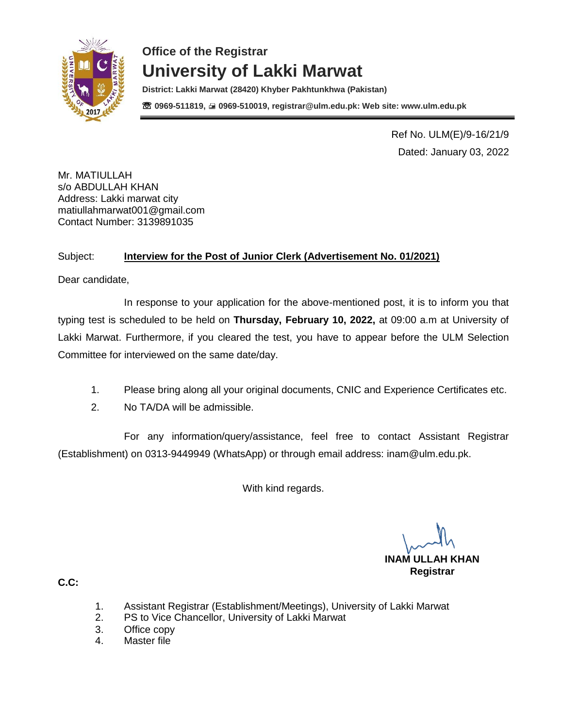

**District: Lakki Marwat (28420) Khyber Pakhtunkhwa (Pakistan)** ☏ **0969-511819, 0969-510019, registrar@ulm.edu.pk: Web site: www.ulm.edu.pk**

> Ref No. ULM(E)/9-16/21/9 Dated: January 03, 2022

Mr. MATIULLAH s/o ABDULLAH KHAN Address: Lakki marwat city [matiullahmarwat001@gmail.com](mailto:matiullahmarwat001@gmail.com) Contact Number: 3139891035

### Subject: **Interview for the Post of Junior Clerk (Advertisement No. 01/2021)**

Dear candidate,

In response to your application for the above-mentioned post, it is to inform you that typing test is scheduled to be held on **Thursday, February 10, 2022,** at 09:00 a.m at University of Lakki Marwat. Furthermore, if you cleared the test, you have to appear before the ULM Selection Committee for interviewed on the same date/day.

- 1. Please bring along all your original documents, CNIC and Experience Certificates etc.
- 2. No TA/DA will be admissible.

For any information/query/assistance, feel free to contact Assistant Registrar (Establishment) on 0313-9449949 (WhatsApp) or through email address: [inam@ulm.edu.pk.](mailto:inam@ulm.edu.pk)

With kind regards.

**INAM ULLAH KHAN Registrar** 

- 1. Assistant Registrar (Establishment/Meetings), University of Lakki Marwat
- 2. PS to Vice Chancellor, University of Lakki Marwat
- 3. Office copy
- 4. Master file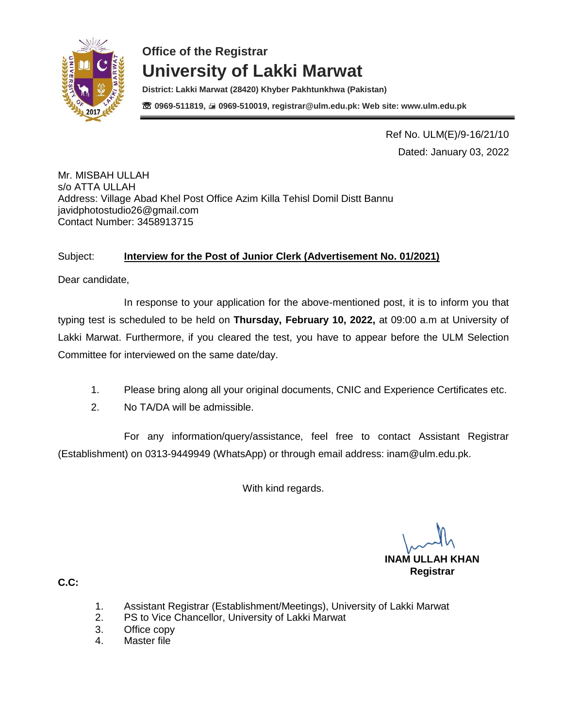

**District: Lakki Marwat (28420) Khyber Pakhtunkhwa (Pakistan)** ☏ **0969-511819, 0969-510019, registrar@ulm.edu.pk: Web site: www.ulm.edu.pk**

> Ref No. ULM(E)/9-16/21/10 Dated: January 03, 2022

Mr. MISBAH ULLAH s/o ATTA ULLAH Address: Village Abad Khel Post Office Azim Killa Tehisl Domil Distt Bannu [javidphotostudio26@gmail.com](mailto:javidphotostudio26@gmail.com) Contact Number: 3458913715

#### Subject: **Interview for the Post of Junior Clerk (Advertisement No. 01/2021)**

Dear candidate,

In response to your application for the above-mentioned post, it is to inform you that typing test is scheduled to be held on **Thursday, February 10, 2022,** at 09:00 a.m at University of Lakki Marwat. Furthermore, if you cleared the test, you have to appear before the ULM Selection Committee for interviewed on the same date/day.

- 1. Please bring along all your original documents, CNIC and Experience Certificates etc.
- 2. No TA/DA will be admissible.

For any information/query/assistance, feel free to contact Assistant Registrar (Establishment) on 0313-9449949 (WhatsApp) or through email address: [inam@ulm.edu.pk.](mailto:inam@ulm.edu.pk)

With kind regards.

**INAM ULLAH KHAN Registrar** 

- 1. Assistant Registrar (Establishment/Meetings), University of Lakki Marwat
- 2. PS to Vice Chancellor, University of Lakki Marwat
- 3. Office copy
- 4. Master file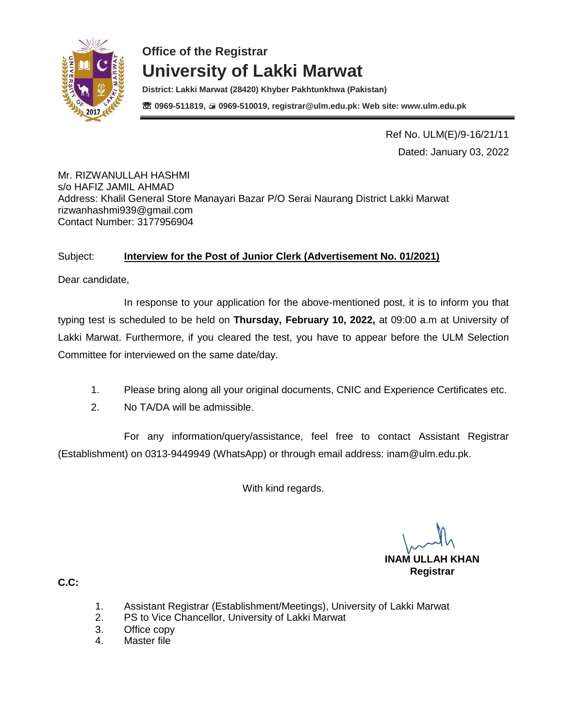

**District: Lakki Marwat (28420) Khyber Pakhtunkhwa (Pakistan)** ☏ **0969-511819, 0969-510019, registrar@ulm.edu.pk: Web site: www.ulm.edu.pk**

> Ref No. ULM(E)/9-16/21/11 Dated: January 03, 2022

Mr. RIZWANULLAH HASHMI s/o HAFIZ JAMIL AHMAD Address: Khalil General Store Manayari Bazar P/O Serai Naurang District Lakki Marwat [rizwanhashmi939@gmail.com](mailto:rizwanhashmi939@gmail.com) Contact Number: 3177956904

#### Subject: **Interview for the Post of Junior Clerk (Advertisement No. 01/2021)**

Dear candidate,

In response to your application for the above-mentioned post, it is to inform you that typing test is scheduled to be held on **Thursday, February 10, 2022,** at 09:00 a.m at University of Lakki Marwat. Furthermore, if you cleared the test, you have to appear before the ULM Selection Committee for interviewed on the same date/day.

- 1. Please bring along all your original documents, CNIC and Experience Certificates etc.
- 2. No TA/DA will be admissible.

For any information/query/assistance, feel free to contact Assistant Registrar (Establishment) on 0313-9449949 (WhatsApp) or through email address: [inam@ulm.edu.pk.](mailto:inam@ulm.edu.pk)

With kind regards.

**INAM ULLAH KHAN Registrar** 

- 1. Assistant Registrar (Establishment/Meetings), University of Lakki Marwat
- 2. PS to Vice Chancellor, University of Lakki Marwat
- 3. Office copy
- 4. Master file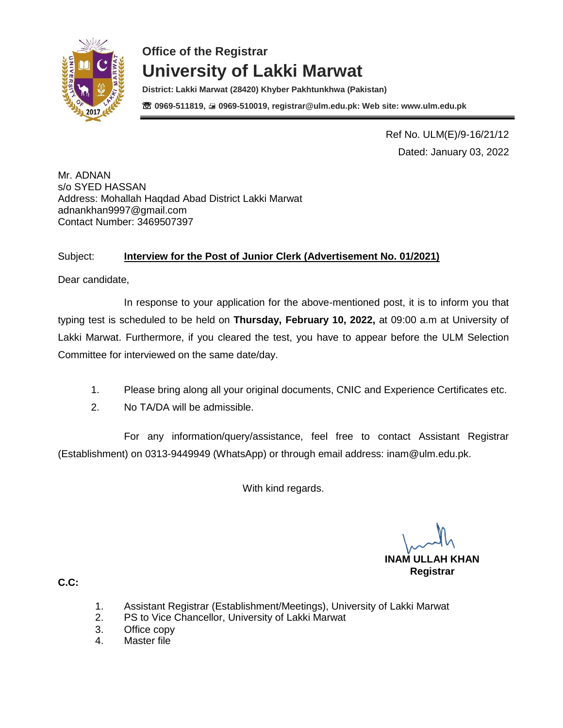

**District: Lakki Marwat (28420) Khyber Pakhtunkhwa (Pakistan)** ☏ **0969-511819, 0969-510019, registrar@ulm.edu.pk: Web site: www.ulm.edu.pk**

> Ref No. ULM(E)/9-16/21/12 Dated: January 03, 2022

Mr. ADNAN s/o SYED HASSAN Address: Mohallah Haqdad Abad District Lakki Marwat [adnankhan9997@gmail.com](mailto:adnankhan9997@gmail.com) Contact Number: 3469507397

#### Subject: **Interview for the Post of Junior Clerk (Advertisement No. 01/2021)**

Dear candidate,

In response to your application for the above-mentioned post, it is to inform you that typing test is scheduled to be held on **Thursday, February 10, 2022,** at 09:00 a.m at University of Lakki Marwat. Furthermore, if you cleared the test, you have to appear before the ULM Selection Committee for interviewed on the same date/day.

- 1. Please bring along all your original documents, CNIC and Experience Certificates etc.
- 2. No TA/DA will be admissible.

For any information/query/assistance, feel free to contact Assistant Registrar (Establishment) on 0313-9449949 (WhatsApp) or through email address: [inam@ulm.edu.pk.](mailto:inam@ulm.edu.pk)

With kind regards.

**INAM ULLAH KHAN Registrar** 

- 1. Assistant Registrar (Establishment/Meetings), University of Lakki Marwat
- 2. PS to Vice Chancellor, University of Lakki Marwat
- 3. Office copy
- 4. Master file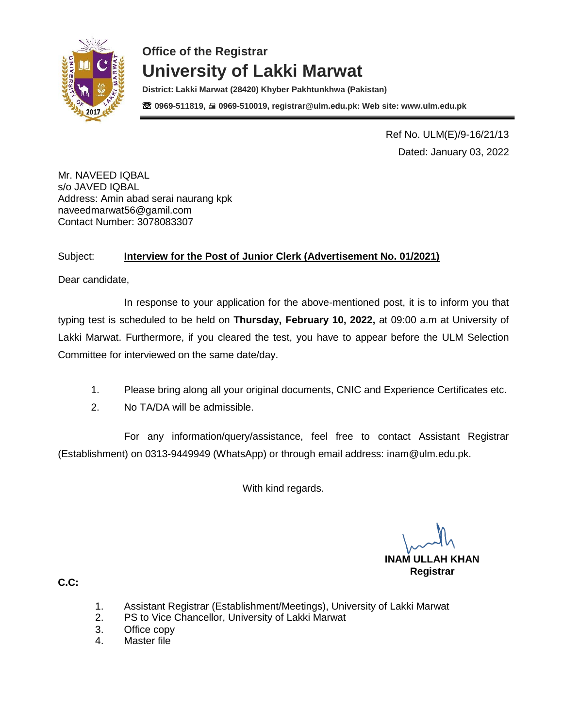

**District: Lakki Marwat (28420) Khyber Pakhtunkhwa (Pakistan)** ☏ **0969-511819, 0969-510019, registrar@ulm.edu.pk: Web site: www.ulm.edu.pk**

> Ref No. ULM(E)/9-16/21/13 Dated: January 03, 2022

Mr. NAVEED IQBAL s/o JAVED IQBAL Address: Amin abad serai naurang kpk [naveedmarwat56@gamil.com](mailto:naveedmarwat56@gamil.com) Contact Number: 3078083307

### Subject: **Interview for the Post of Junior Clerk (Advertisement No. 01/2021)**

Dear candidate,

In response to your application for the above-mentioned post, it is to inform you that typing test is scheduled to be held on **Thursday, February 10, 2022,** at 09:00 a.m at University of Lakki Marwat. Furthermore, if you cleared the test, you have to appear before the ULM Selection Committee for interviewed on the same date/day.

- 1. Please bring along all your original documents, CNIC and Experience Certificates etc.
- 2. No TA/DA will be admissible.

For any information/query/assistance, feel free to contact Assistant Registrar (Establishment) on 0313-9449949 (WhatsApp) or through email address: [inam@ulm.edu.pk.](mailto:inam@ulm.edu.pk)

With kind regards.

**INAM ULLAH KHAN Registrar** 

- 1. Assistant Registrar (Establishment/Meetings), University of Lakki Marwat
- 2. PS to Vice Chancellor, University of Lakki Marwat
- 3. Office copy
- 4. Master file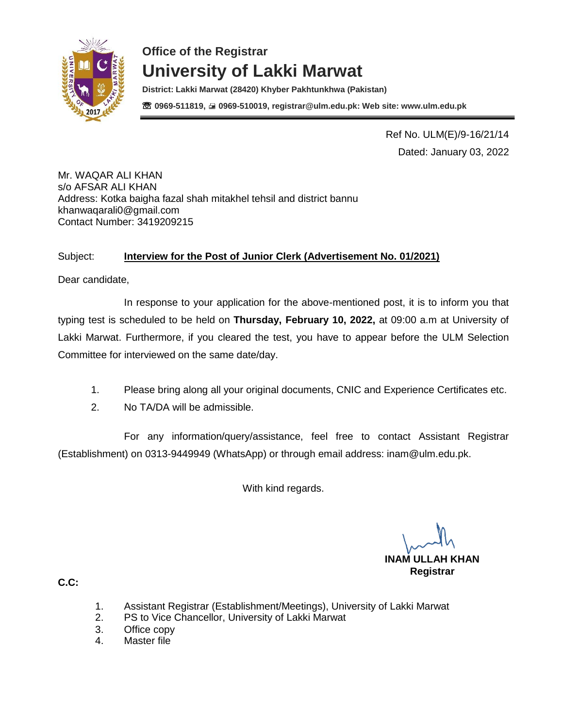

**District: Lakki Marwat (28420) Khyber Pakhtunkhwa (Pakistan)** ☏ **0969-511819, 0969-510019, registrar@ulm.edu.pk: Web site: www.ulm.edu.pk**

> Ref No. ULM(E)/9-16/21/14 Dated: January 03, 2022

Mr. WAQAR ALI KHAN s/o AFSAR ALI KHAN Address: Kotka baigha fazal shah mitakhel tehsil and district bannu [khanwaqarali0@gmail.com](mailto:khanwaqarali0@gmail.com) Contact Number: 3419209215

#### Subject: **Interview for the Post of Junior Clerk (Advertisement No. 01/2021)**

Dear candidate,

In response to your application for the above-mentioned post, it is to inform you that typing test is scheduled to be held on **Thursday, February 10, 2022,** at 09:00 a.m at University of Lakki Marwat. Furthermore, if you cleared the test, you have to appear before the ULM Selection Committee for interviewed on the same date/day.

- 1. Please bring along all your original documents, CNIC and Experience Certificates etc.
- 2. No TA/DA will be admissible.

For any information/query/assistance, feel free to contact Assistant Registrar (Establishment) on 0313-9449949 (WhatsApp) or through email address: [inam@ulm.edu.pk.](mailto:inam@ulm.edu.pk)

With kind regards.

**INAM ULLAH KHAN Registrar** 

- 1. Assistant Registrar (Establishment/Meetings), University of Lakki Marwat
- 2. PS to Vice Chancellor, University of Lakki Marwat
- 3. Office copy
- 4. Master file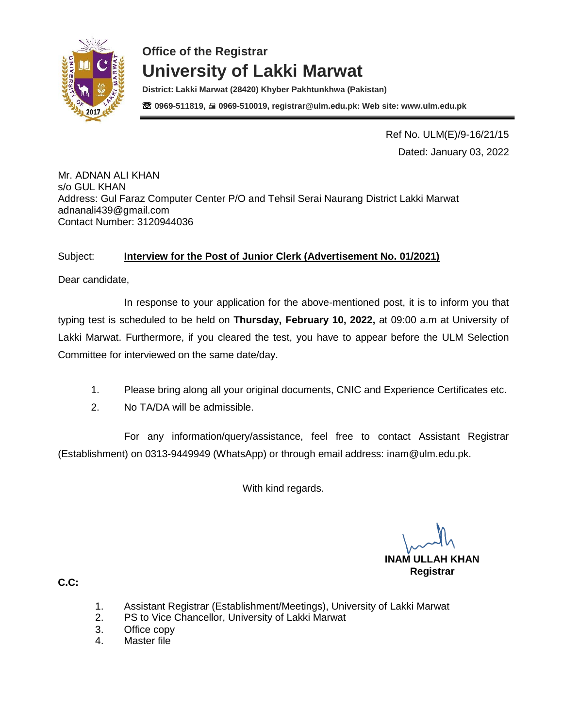

**District: Lakki Marwat (28420) Khyber Pakhtunkhwa (Pakistan)** ☏ **0969-511819, 0969-510019, registrar@ulm.edu.pk: Web site: www.ulm.edu.pk**

> Ref No. ULM(E)/9-16/21/15 Dated: January 03, 2022

Mr. ADNAN ALI KHAN s/o GUL KHAN Address: Gul Faraz Computer Center P/O and Tehsil Serai Naurang District Lakki Marwat [adnanali439@gmail.com](mailto:adnanali439@gmail.com) Contact Number: 3120944036

#### Subject: **Interview for the Post of Junior Clerk (Advertisement No. 01/2021)**

Dear candidate,

In response to your application for the above-mentioned post, it is to inform you that typing test is scheduled to be held on **Thursday, February 10, 2022,** at 09:00 a.m at University of Lakki Marwat. Furthermore, if you cleared the test, you have to appear before the ULM Selection Committee for interviewed on the same date/day.

- 1. Please bring along all your original documents, CNIC and Experience Certificates etc.
- 2. No TA/DA will be admissible.

For any information/query/assistance, feel free to contact Assistant Registrar (Establishment) on 0313-9449949 (WhatsApp) or through email address: [inam@ulm.edu.pk.](mailto:inam@ulm.edu.pk)

With kind regards.

**INAM ULLAH KHAN Registrar** 

- 1. Assistant Registrar (Establishment/Meetings), University of Lakki Marwat
- 2. PS to Vice Chancellor, University of Lakki Marwat
- 3. Office copy
- 4. Master file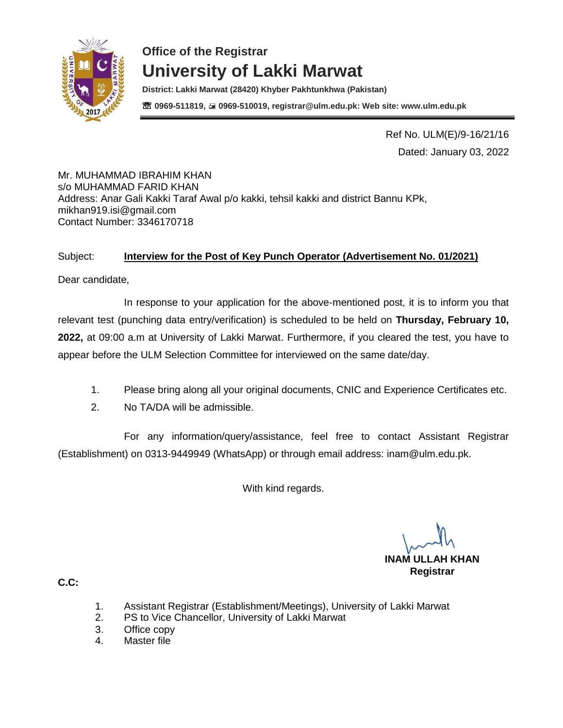

**District: Lakki Marwat (28420) Khyber Pakhtunkhwa (Pakistan)** ☏ **0969-511819, 0969-510019, registrar@ulm.edu.pk: Web site: www.ulm.edu.pk**

> Ref No. ULM(E)/9-16/21/16 Dated: January 03, 2022

Mr. MUHAMMAD IBRAHIM KHAN s/o MUHAMMAD FARID KHAN Address: Anar Gali Kakki Taraf Awal p/o kakki, tehsil kakki and district Bannu KPk, [mikhan919.isi@gmail.com](mailto:mikhan919.isi@gmail.com) Contact Number: 3346170718

#### Subject: **Interview for the Post of Key Punch Operator (Advertisement No. 01/2021)**

Dear candidate,

In response to your application for the above-mentioned post, it is to inform you that relevant test (punching data entry/verification) is scheduled to be held on **Thursday, February 10, 2022,** at 09:00 a.m at University of Lakki Marwat. Furthermore, if you cleared the test, you have to appear before the ULM Selection Committee for interviewed on the same date/day.

- 1. Please bring along all your original documents, CNIC and Experience Certificates etc.
- 2. No TA/DA will be admissible.

For any information/query/assistance, feel free to contact Assistant Registrar (Establishment) on 0313-9449949 (WhatsApp) or through email address: [inam@ulm.edu.pk.](mailto:inam@ulm.edu.pk)

With kind regards.

**INAM ULLAH KHAN Registrar** 

- 1. Assistant Registrar (Establishment/Meetings), University of Lakki Marwat
- 2. PS to Vice Chancellor, University of Lakki Marwat
- 3. Office copy
- 4. Master file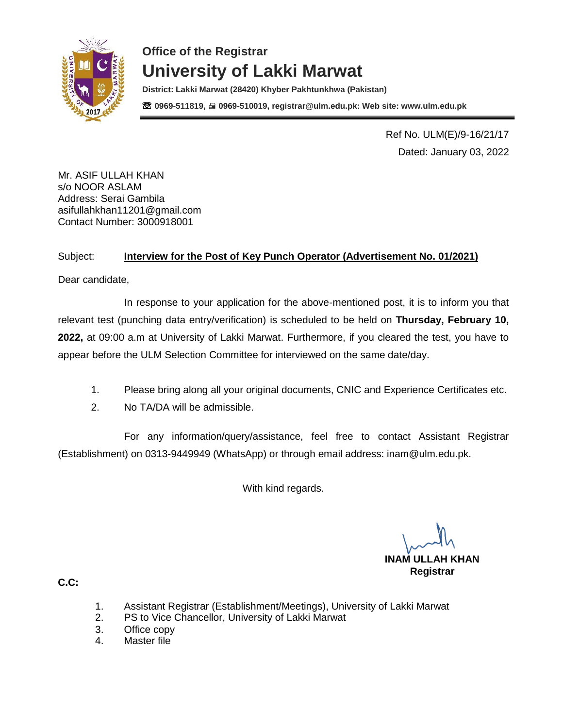

**District: Lakki Marwat (28420) Khyber Pakhtunkhwa (Pakistan)** ☏ **0969-511819, 0969-510019, registrar@ulm.edu.pk: Web site: www.ulm.edu.pk**

> Ref No. ULM(E)/9-16/21/17 Dated: January 03, 2022

Mr. ASIF ULLAH KHAN s/o NOOR ASLAM Address: Serai Gambila [asifullahkhan11201@gmail.com](mailto:asifullahkhan11201@gmail.com) Contact Number: 3000918001

#### Subject: **Interview for the Post of Key Punch Operator (Advertisement No. 01/2021)**

Dear candidate,

In response to your application for the above-mentioned post, it is to inform you that relevant test (punching data entry/verification) is scheduled to be held on **Thursday, February 10, 2022,** at 09:00 a.m at University of Lakki Marwat. Furthermore, if you cleared the test, you have to appear before the ULM Selection Committee for interviewed on the same date/day.

- 1. Please bring along all your original documents, CNIC and Experience Certificates etc.
- 2. No TA/DA will be admissible.

For any information/query/assistance, feel free to contact Assistant Registrar (Establishment) on 0313-9449949 (WhatsApp) or through email address: [inam@ulm.edu.pk.](mailto:inam@ulm.edu.pk)

With kind regards.

**INAM ULLAH KHAN Registrar** 

- 1. Assistant Registrar (Establishment/Meetings), University of Lakki Marwat
- 2. PS to Vice Chancellor, University of Lakki Marwat
- 3. Office copy
- 4. Master file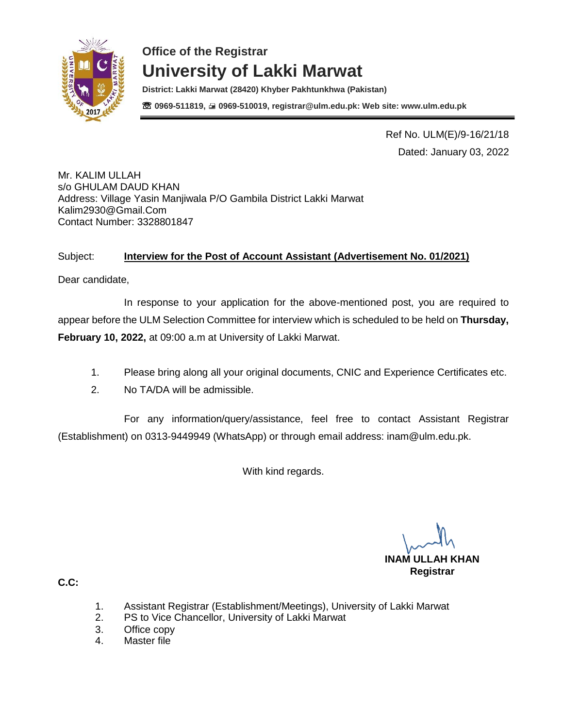

**District: Lakki Marwat (28420) Khyber Pakhtunkhwa (Pakistan)** ☏ **0969-511819, 0969-510019, registrar@ulm.edu.pk: Web site: www.ulm.edu.pk**

> Ref No. ULM(E)/9-16/21/18 Dated: January 03, 2022

Mr. KALIM ULLAH s/o GHULAM DAUD KHAN Address: Village Yasin Manjiwala P/O Gambila District Lakki Marwat [Kalim2930@Gmail.Com](mailto:Kalim2930@Gmail.Com) Contact Number: 3328801847

#### Subject: **Interview for the Post of Account Assistant (Advertisement No. 01/2021)**

Dear candidate,

In response to your application for the above-mentioned post, you are required to appear before the ULM Selection Committee for interview which is scheduled to be held on **Thursday, February 10, 2022,** at 09:00 a.m at University of Lakki Marwat.

- 1. Please bring along all your original documents, CNIC and Experience Certificates etc.
- 2. No TA/DA will be admissible.

For any information/query/assistance, feel free to contact Assistant Registrar (Establishment) on 0313-9449949 (WhatsApp) or through email address: [inam@ulm.edu.pk.](mailto:inam@ulm.edu.pk)

With kind regards.

**INAM ULLAH KHAN Registrar** 

- 1. Assistant Registrar (Establishment/Meetings), University of Lakki Marwat
- 2. PS to Vice Chancellor, University of Lakki Marwat
- 3. Office copy
- 4. Master file